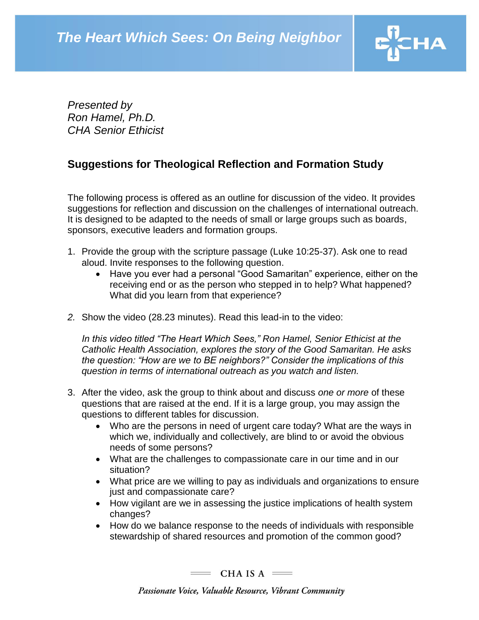

*Presented by Ron Hamel, Ph.D. CHA Senior Ethicist*

## **Suggestions for Theological Reflection and Formation Study**

The following process is offered as an outline for discussion of the video. It provides suggestions for reflection and discussion on the challenges of international outreach. It is designed to be adapted to the needs of small or large groups such as boards, sponsors, executive leaders and formation groups.

- 1. Provide the group with the scripture passage (Luke 10:25-37). Ask one to read aloud. Invite responses to the following question.
	- Have you ever had a personal "Good Samaritan" experience, either on the receiving end or as the person who stepped in to help? What happened? What did you learn from that experience?
- *2.* Show the video (28.23 minutes). Read this lead-in to the video:

In this video titled "The Heart Which Sees," Ron Hamel, Senior Ethicist at the *Catholic Health Association, explores the story of the Good Samaritan. He asks the question: "How are we to BE neighbors?" Consider the implications of this question in terms of international outreach as you watch and listen.*

- 3. After the video, ask the group to think about and discuss *one or more* of these questions that are raised at the end. If it is a large group, you may assign the questions to different tables for discussion.
	- Who are the persons in need of urgent care today? What are the ways in which we, individually and collectively, are blind to or avoid the obvious needs of some persons?
	- What are the challenges to compassionate care in our time and in our situation?
	- What price are we willing to pay as individuals and organizations to ensure just and compassionate care?
	- How vigilant are we in assessing the justice implications of health system changes?
	- How do we balance response to the needs of individuals with responsible stewardship of shared resources and promotion of the common good?